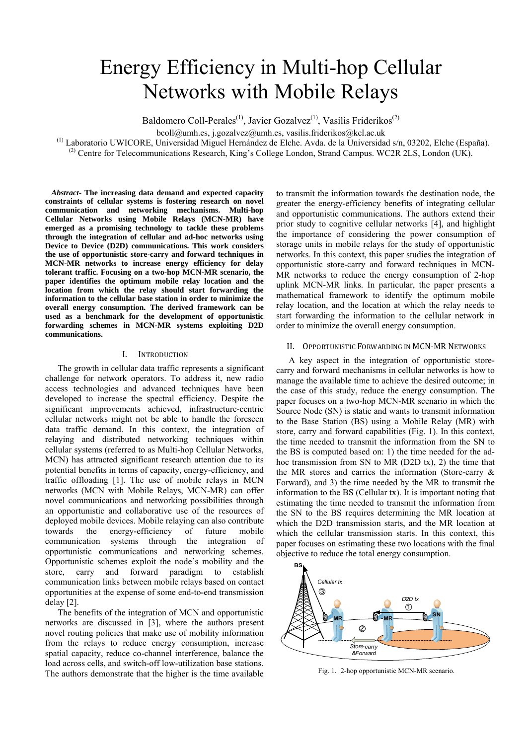# Energy Efficiency in Multi-hop Cellular Networks with Mobile Relays

Baldomero Coll-Perales<sup>(1)</sup>, Javier Gozalvez<sup>(1)</sup>, Vasilis Friderikos<sup>(2)</sup>

bcoll@umh.es, j.gozalvez@umh.es, vasilis.friderikos@kcl.ac.uk

(1) Laboratorio UWICORE, Universidad Miguel Hernández de Elche. Avda. de la Universidad s/n, 03202, Elche (España).

<sup>(2)</sup> Centre for Telecommunications Research, King's College London, Strand Campus. WC2R 2LS, London (UK).

*Abstract***- The increasing data demand and expected capacity constraints of cellular systems is fostering research on novel communication and networking mechanisms. Multi-hop Cellular Networks using Mobile Relays (MCN-MR) have emerged as a promising technology to tackle these problems through the integration of cellular and ad-hoc networks using Device to Device (D2D) communications. This work considers the use of opportunistic store-carry and forward techniques in MCN-MR networks to increase energy efficiency for delay tolerant traffic. Focusing on a two-hop MCN-MR scenario, the paper identifies the optimum mobile relay location and the location from which the relay should start forwarding the information to the cellular base station in order to minimize the overall energy consumption. The derived framework can be used as a benchmark for the development of opportunistic forwarding schemes in MCN-MR systems exploiting D2D communications.** 

## I. INTRODUCTION

The growth in cellular data traffic represents a significant challenge for network operators. To address it, new radio access technologies and advanced techniques have been developed to increase the spectral efficiency. Despite the significant improvements achieved, infrastructure-centric cellular networks might not be able to handle the foreseen data traffic demand. In this context, the integration of relaying and distributed networking techniques within cellular systems (referred to as Multi-hop Cellular Networks, MCN) has attracted significant research attention due to its potential benefits in terms of capacity, energy-efficiency, and traffic offloading [1]. The use of mobile relays in MCN networks (MCN with Mobile Relays, MCN-MR) can offer novel communications and networking possibilities through an opportunistic and collaborative use of the resources of deployed mobile devices. Mobile relaying can also contribute towards the energy-efficiency of future mobile communication systems through the integration of opportunistic communications and networking schemes. Opportunistic schemes exploit the node's mobility and the store, carry and forward paradigm to establish communication links between mobile relays based on contact opportunities at the expense of some end-to-end transmission delay [2].

The benefits of the integration of MCN and opportunistic networks are discussed in [3], where the authors present novel routing policies that make use of mobility information from the relays to reduce energy consumption, increase spatial capacity, reduce co-channel interference, balance the load across cells, and switch-off low-utilization base stations. The authors demonstrate that the higher is the time available

to transmit the information towards the destination node, the greater the energy-efficiency benefits of integrating cellular and opportunistic communications. The authors extend their prior study to cognitive cellular networks [4], and highlight the importance of considering the power consumption of storage units in mobile relays for the study of opportunistic networks. In this context, this paper studies the integration of opportunistic store-carry and forward techniques in MCN-MR networks to reduce the energy consumption of 2-hop uplink MCN-MR links. In particular, the paper presents a mathematical framework to identify the optimum mobile relay location, and the location at which the relay needs to start forwarding the information to the cellular network in order to minimize the overall energy consumption.

## II. OPPORTUNISTIC FORWARDING IN MCN‐MR NETWORKS

A key aspect in the integration of opportunistic storecarry and forward mechanisms in cellular networks is how to manage the available time to achieve the desired outcome; in the case of this study, reduce the energy consumption. The paper focuses on a two-hop MCN-MR scenario in which the Source Node (SN) is static and wants to transmit information to the Base Station (BS) using a Mobile Relay (MR) with store, carry and forward capabilities (Fig. 1). In this context, the time needed to transmit the information from the SN to the BS is computed based on: 1) the time needed for the adhoc transmission from SN to MR (D2D tx), 2) the time that the MR stores and carries the information (Store-carry & Forward), and 3) the time needed by the MR to transmit the information to the BS (Cellular tx). It is important noting that estimating the time needed to transmit the information from the SN to the BS requires determining the MR location at which the D2D transmission starts, and the MR location at which the cellular transmission starts. In this context, this paper focuses on estimating these two locations with the final objective to reduce the total energy consumption.



Fig. 1. 2-hop opportunistic MCN-MR scenario.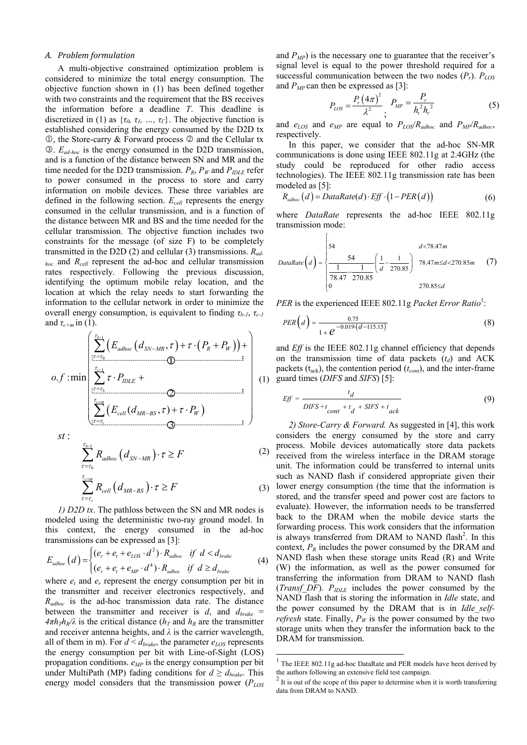#### *A. Problem formulation*

A multi-objective constrained optimization problem is considered to minimize the total energy consumption. The objective function shown in (1) has been defined together with two constraints and the requirement that the BS receives the information before a deadline *T*. This deadline is discretized in (1) as  $\{\tau_0, \tau_1, ..., \tau_T\}$ . The objective function is established considering the energy consumed by the D2D tx  $\mathbb{O}$ , the Store-carry & Forward process  $\mathbb{O}$  and the Cellular tx . *Ead-hoc* is the energy consumed in the D2D transmission, and is a function of the distance between SN and MR and the time needed for the D2D transmission.  $P_R$ ,  $P_W$  and  $P_{IDLE}$  refer to power consumed in the process to store and carry information on mobile devices. These three variables are defined in the following section. *Ecell* represents the energy consumed in the cellular transmission, and is a function of the distance between MR and BS and the time needed for the cellular transmission. The objective function includes two constraints for the message (of size F) to be completely transmitted in the D2D (2) and cellular (3) transmissions. *Radhoc* and *Rcell* represent the ad-hoc and cellular transmission rates respectively. Following the previous discussion, identifying the optimum mobile relay location, and the location at which the relay needs to start forwarding the information to the cellular network in order to minimize the overall energy consumption, is equivalent to finding *τb-1*, *τc-1* and  $\tau_{c+m}$  in (1).

$$
o.f: \min\left(\frac{\sum_{\tau=\tau_0}^{\tau_{b-1}} \left(E_{adhoc} \left(d_{SN-MR}, \tau\right) + \tau \cdot \left(P_R + P_W\right)\right) + \sum_{\tau=\tau_0 \text{.\dots}}^{\tau_{c-1}} \tau \cdot P_{IDLE} + \sum_{\tau=\tau_b \text{.\dots}}^{\tau_{c+1}} \left(E_{cell} \left(d_{MR-BS}, \tau\right) + \tau \cdot P_W\right)\right) \tag{1}
$$

: *st*

$$
\sum_{\tau=\tau_0}^{\tau_{b-1}} R_{adhoc} (d_{SN-MR}) \cdot \tau \ge F
$$
\n
$$
\sum_{\tau=\tau_c}^{\tau_{c+m}} R_{cell} (d_{MR-BS}) \cdot \tau \ge F
$$
\n(2)

*1) D2D tx*. The pathloss between the SN and MR nodes is modeled using the deterministic two-ray ground model. In this context, the energy consumed in the ad-hoc transmissions can be expressed as [3]:

$$
E_{adhoc}(d) = \begin{cases} (e_r + e_t + e_{LOS} \cdot d^2) \cdot R_{adhoc} & \text{if } d < d_{brake} \\ (e_r + e_t + e_{MP} \cdot d^4) \cdot R_{adhoc} & \text{if } d \ge d_{brake} \end{cases}
$$
 (4)

where  $e_t$  and  $e_r$  represent the energy consumption per bit in the transmitter and receiver electronics respectively, and *Radhoc* is the ad-hoc transmission data rate. The distance between the transmitter and receiver is  $d$ , and  $d_{brake}$  =  $4\pi h_T h_R/\lambda$  is the critical distance ( $h_T$  and  $h_R$  are the transmitter and receiver antenna heights, and *λ* is the carrier wavelength, all of them in m). For  $d < d_{brake}$ , the parameter  $e_{LOS}$  represents the energy consumption per bit with Line-of-Sight (LOS) propagation conditions.  $e_{MP}$  is the energy consumption per bit under MultiPath (MP) fading conditions for  $d \geq d_{brake}$ . This energy model considers that the transmission power ( $P_{LOS}$ ) and  $P_{MP}$ ) is the necessary one to guarantee that the receiver's signal level is equal to the power threshold required for a successful communication between the two nodes  $(P_r)$ .  $P_{LOS}$ and  $P_{MP}$  can then be expressed as [3]:

$$
P_{LOS} = \frac{P_r (4\pi)^2}{\lambda^2} \frac{P_{MP}}{i} = \frac{P_r}{h_i^2 h_r^2}
$$
 (5)

and *eLOS* and *eMP* are equal to *PLOS*/*Radhoc* and *PMP*/*Radhoc*, respectively.

In this paper, we consider that the ad-hoc SN-MR communications is done using IEEE 802.11g at 2.4GHz (the study could be reproduced for other radio access technologies). The IEEE 802.11g transmission rate has been modeled as [5]:

$$
R_{\text{adhoc}}(d) = \text{DataRate}(d) \cdot \text{Eff} \cdot (1 - \text{PER}(d)) \tag{6}
$$

where *DataRate* represents the ad-hoc IEEE 802.11g transmission mode:

 $\sqrt{ }$ 

DataRate
$$
(d)
$$
 = 
$$
\frac{\begin{cases} 54 & d < 78.47m \\ \frac{1}{78.47} - \frac{1}{270.85} & \frac{1}{270.85} \end{cases}}{\begin{cases} \frac{1}{78.47} - \frac{1}{270.85} & \frac{1}{270.85} \end{cases}}
$$
 78.47 m ≤ d < 270.85 m (7)

*PER* is the experienced IEEE 802.11g *Packet Error Ratio*<sup>1</sup>:

$$
PER\left(d\right) = \frac{0.75}{1 + e^{-0.019 \cdot \left(d - 115.15\right)}}
$$
\n(8)

(1) guard times (*DIFS* and *SIFS*) [5]: and *Eff* is the IEEE 802.11g channel efficiency that depends on the transmission time of data packets  $(t_d)$  and ACK packets ( $t_{ack}$ ), the contention period ( $t_{cont}$ ), and the inter-frame

$$
Eff = \frac{t_d}{DIFS + t_{cont} + t_d + SIFS + t_{ack}}
$$
(9)

*2) Store-Carry & Forward.* As suggested in [4], this work considers the energy consumed by the store and carry process. Mobile devices automatically store data packets received from the wireless interface in the DRAM storage unit. The information could be transferred to internal units such as NAND flash if considered appropriate given their lower energy consumption (the time that the information is stored, and the transfer speed and power cost are factors to evaluate). However, the information needs to be transferred back to the DRAM when the mobile device starts the forwarding process. This work considers that the information is always transferred from DRAM to NAND flash<sup>2</sup>. In this context,  $P_R$  includes the power consumed by the DRAM and NAND flash when these storage units Read (R) and Write (W) the information, as well as the power consumed for transferring the information from DRAM to NAND flash (*Transf\_DF*). *PIDLE* includes the power consumed by the NAND flash that is storing the information in *Idle* state, and the power consumed by the DRAM that is in *Idle selfrefresh* state. Finally,  $P_W$  is the power consumed by the two storage units when they transfer the information back to the DRAM for transmission.

-

<sup>&</sup>lt;sup>1</sup> The IEEE 802.11g ad-hoc DataRate and PER models have been derived by the authors following an extensive field test campaign.

<sup>2</sup> It is out of the scope of this paper to determine when it is worth transferring data from DRAM to NAND.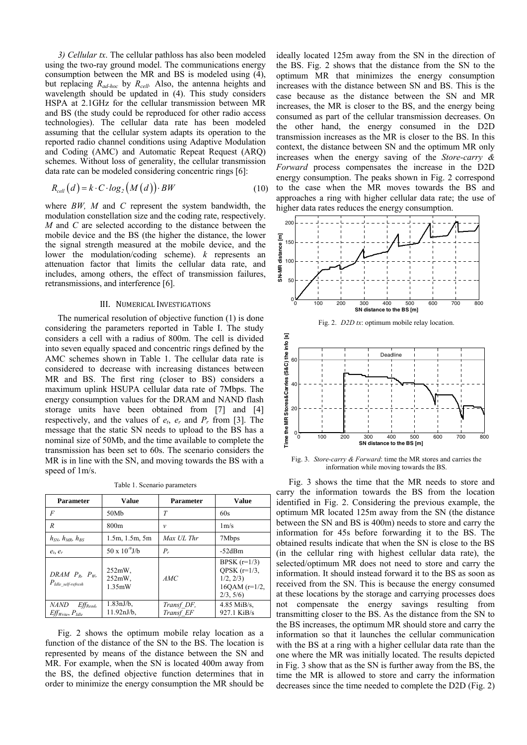*3) Cellular tx*. The cellular pathloss has also been modeled using the two-ray ground model. The communications energy consumption between the MR and BS is modeled using (4), but replacing *Rad-hoc* by *Rcell.* Also, the antenna heights and wavelength should be updated in (4). This study considers HSPA at 2.1GHz for the cellular transmission between MR and BS (the study could be reproduced for other radio access technologies). The cellular data rate has been modeled assuming that the cellular system adapts its operation to the reported radio channel conditions using Adaptive Modulation and Coding (AMC) and Automatic Repeat Request (ARQ) schemes. Without loss of generality, the cellular transmission data rate can be modeled considering concentric rings [6]:

$$
R_{cell}(d) = k \cdot C \cdot log_2(M(d)) \cdot BW \tag{10}
$$

where *BW, M* and *C* represent the system bandwidth, the modulation constellation size and the coding rate, respectively. *M* and *C* are selected according to the distance between the mobile device and the BS (the higher the distance, the lower the signal strength measured at the mobile device, and the lower the modulation/coding scheme). *k* represents an attenuation factor that limits the cellular data rate, and includes, among others, the effect of transmission failures, retransmissions, and interference [6].

## III. NUMERICAL INVESTIGATIONS

The numerical resolution of objective function (1) is done considering the parameters reported in Table I. The study considers a cell with a radius of 800m. The cell is divided into seven equally spaced and concentric rings defined by the AMC schemes shown in Table 1. The cellular data rate is considered to decrease with increasing distances between MR and BS. The first ring (closer to BS) considers a maximum uplink HSUPA cellular data rate of 7Mbps. The energy consumption values for the DRAM and NAND flash storage units have been obtained from [7] and [4] respectively, and the values of  $e_t$ ,  $e_r$  and  $P_r$  from [3]. The message that the static SN needs to upload to the BS has a nominal size of 50Mb, and the time available to complete the transmission has been set to 60s. The scenario considers the MR is in line with the SN, and moving towards the BS with a speed of 1m/s.

Table 1. Scenario parameters

| <b>Parameter</b>                                       | <b>Value</b>                     | <b>Parameter</b> | <b>Value</b>                                                                  |
|--------------------------------------------------------|----------------------------------|------------------|-------------------------------------------------------------------------------|
| $\overline{F}$                                         | 50Mh                             | T                | 60s                                                                           |
| R                                                      | 800 <sub>m</sub>                 | $\mathcal{V}$    | $1m$ /s                                                                       |
| $h_{\rm SN}$ , $h_{\rm MR}$ , $h_{\rm RS}$             | 1.5m, 1.5m, 5m                   | Max UL Thr       | 7Mbps                                                                         |
| $e_t, e_r$                                             | $50 \times 10^{-9}$ J/b          | $P_r$            | $-52$ dBm                                                                     |
| DRAM $P_R$ , $P_W$ ,<br>$P_{\text{Idle}}$ self-refresh | $252mW$ .<br>$252mW$ .<br>1.35mW | AMC              | BPSK $(r=1/3)$<br>QPSK $(r=1/3)$ ,<br>1/2, 2/3<br>$16QAM (r=1/2,$<br>2/3, 5/6 |
| <b>NAND</b><br>$Eff_{Read}$                            | $1.83 \text{nJ/b}$ ,             | Transf DF,       | $4.85$ MiB/s.                                                                 |
| $Eff_{Write}, P_{idle}$                                | $11.92 \text{nJ/b}$ ,            | Transf EF        | 927.1 KiB/s                                                                   |

Fig. 2 shows the optimum mobile relay location as a function of the distance of the SN to the BS. The location is represented by means of the distance between the SN and MR. For example, when the SN is located 400m away from the BS, the defined objective function determines that in order to minimize the energy consumption the MR should be

ideally located 125m away from the SN in the direction of the BS. Fig. 2 shows that the distance from the SN to the optimum MR that minimizes the energy consumption increases with the distance between SN and BS. This is the case because as the distance between the SN and MR increases, the MR is closer to the BS, and the energy being consumed as part of the cellular transmission decreases. On the other hand, the energy consumed in the D2D transmission increases as the MR is closer to the BS. In this context, the distance between SN and the optimum MR only increases when the energy saving of the *Store-carry & Forward* process compensates the increase in the D2D energy consumption. The peaks shown in Fig. 2 correspond to the case when the MR moves towards the BS and approaches a ring with higher cellular data rate; the use of higher data rates reduces the energy consumption.





Fig. 3. *Store-carry & Forward*: time the MR stores and carries the information while moving towards the BS.

Fig. 3 shows the time that the MR needs to store and carry the information towards the BS from the location identified in Fig. 2. Considering the previous example, the optimum MR located 125m away from the SN (the distance between the SN and BS is 400m) needs to store and carry the information for 45s before forwarding it to the BS. The obtained results indicate that when the SN is close to the BS (in the cellular ring with highest cellular data rate), the selected/optimum MR does not need to store and carry the information. It should instead forward it to the BS as soon as received from the SN. This is because the energy consumed at these locations by the storage and carrying processes does not compensate the energy savings resulting from transmitting closer to the BS. As the distance from the SN to the BS increases, the optimum MR should store and carry the information so that it launches the cellular communication with the BS at a ring with a higher cellular data rate than the one where the MR was initially located. The results depicted in Fig. 3 show that as the SN is further away from the BS, the time the MR is allowed to store and carry the information decreases since the time needed to complete the D2D (Fig. 2)